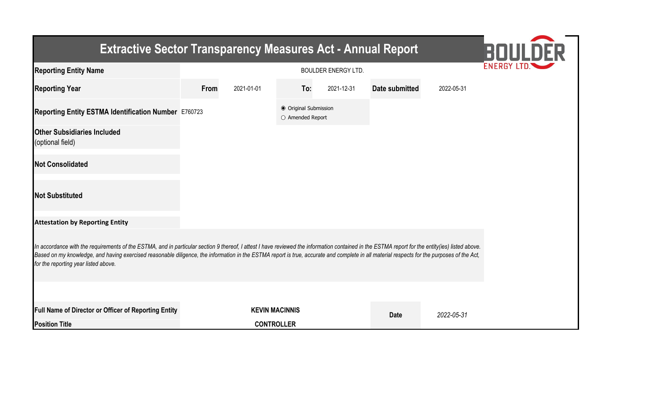| <b>Extractive Sector Transparency Measures Act - Annual Report</b>                                                                                                                                                                                                                                                                                                                                                                    |      |                                               |                                           |            |                       |            |  |  |  |
|---------------------------------------------------------------------------------------------------------------------------------------------------------------------------------------------------------------------------------------------------------------------------------------------------------------------------------------------------------------------------------------------------------------------------------------|------|-----------------------------------------------|-------------------------------------------|------------|-----------------------|------------|--|--|--|
| <b>Reporting Entity Name</b>                                                                                                                                                                                                                                                                                                                                                                                                          |      | <b>ENERGY I</b><br><b>BOULDER ENERGY LTD.</b> |                                           |            |                       |            |  |  |  |
| <b>Reporting Year</b>                                                                                                                                                                                                                                                                                                                                                                                                                 | From | 2021-01-01                                    | To:                                       | 2021-12-31 | <b>Date submitted</b> | 2022-05-31 |  |  |  |
| Reporting Entity ESTMA Identification Number E760723                                                                                                                                                                                                                                                                                                                                                                                  |      |                                               | ● Original Submission<br>O Amended Report |            |                       |            |  |  |  |
| <b>Other Subsidiaries Included</b><br>(optional field)                                                                                                                                                                                                                                                                                                                                                                                |      |                                               |                                           |            |                       |            |  |  |  |
| <b>Not Consolidated</b>                                                                                                                                                                                                                                                                                                                                                                                                               |      |                                               |                                           |            |                       |            |  |  |  |
| <b>Not Substituted</b>                                                                                                                                                                                                                                                                                                                                                                                                                |      |                                               |                                           |            |                       |            |  |  |  |
| <b>Attestation by Reporting Entity</b>                                                                                                                                                                                                                                                                                                                                                                                                |      |                                               |                                           |            |                       |            |  |  |  |
| In accordance with the requirements of the ESTMA, and in particular section 9 thereof, I attest I have reviewed the information contained in the ESTMA report for the entity(ies) listed above.<br>Based on my knowledge, and having exercised reasonable diligence, the information in the ESTMA report is true, accurate and complete in all material respects for the purposes of the Act,<br>for the reporting year listed above. |      |                                               |                                           |            |                       |            |  |  |  |
|                                                                                                                                                                                                                                                                                                                                                                                                                                       |      |                                               |                                           |            |                       |            |  |  |  |
| Full Name of Director or Officer of Reporting Entity                                                                                                                                                                                                                                                                                                                                                                                  |      | <b>KEVIN MACINNIS</b>                         |                                           |            | <b>Date</b>           | 2022-05-31 |  |  |  |
| <b>Position Title</b>                                                                                                                                                                                                                                                                                                                                                                                                                 |      | <b>CONTROLLER</b>                             |                                           |            |                       |            |  |  |  |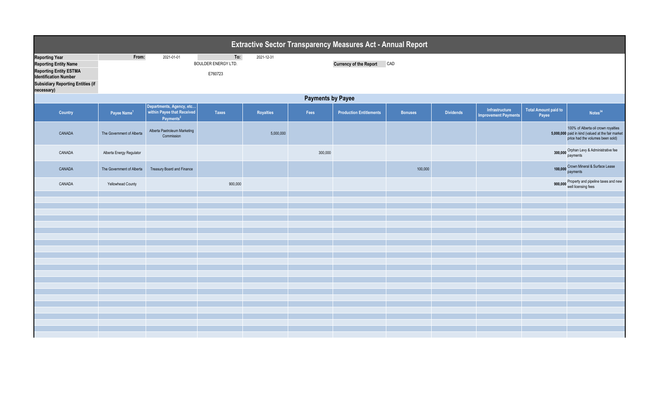|                                                                                                                                                                                  | <b>Extractive Sector Transparency Measures Act - Annual Report</b> |                                                                                 |                                              |            |         |                                |                |                  |                                               |                                      |                                                                                                                              |  |
|----------------------------------------------------------------------------------------------------------------------------------------------------------------------------------|--------------------------------------------------------------------|---------------------------------------------------------------------------------|----------------------------------------------|------------|---------|--------------------------------|----------------|------------------|-----------------------------------------------|--------------------------------------|------------------------------------------------------------------------------------------------------------------------------|--|
| <b>Reporting Year</b><br><b>Reporting Entity Name</b><br><b>Reporting Entity ESTMA</b><br><b>Identification Number</b><br><b>Subsidiary Reporting Entities (if</b><br>necessary) | From:                                                              | 2021-01-01                                                                      | To:<br><b>BOULDER ENERGY LTD.</b><br>E760723 | 2021-12-31 |         | <b>Currency of the Report</b>  | CAD            |                  |                                               |                                      |                                                                                                                              |  |
|                                                                                                                                                                                  | <b>Payments by Payee</b>                                           |                                                                                 |                                              |            |         |                                |                |                  |                                               |                                      |                                                                                                                              |  |
| Country                                                                                                                                                                          | Payee Name <sup>1</sup>                                            | Departments, Agency, etc<br>within Payee that Received<br>Payments <sup>2</sup> | <b>Taxes</b>                                 | Royalties  | Fees    | <b>Production Entitlements</b> | <b>Bonuses</b> | <b>Dividends</b> | Infrastructure<br><b>Improvement Payments</b> | <b>Total Amount paid to</b><br>Payee | Notes <sup>34</sup>                                                                                                          |  |
| CANADA                                                                                                                                                                           | The Government of Alberta                                          | Alberta Paetroleum Marketing<br>Commission                                      |                                              | 5,000,000  |         |                                |                |                  |                                               |                                      | 100% of Alberta oil crown royalties<br>5,000,000 paid in kind (valued at the fair market<br>price had the volumes been sold) |  |
| CANADA                                                                                                                                                                           | Alberta Energy Regulator                                           |                                                                                 |                                              |            | 300,000 |                                |                |                  |                                               |                                      | 300,000 Orphan Levy & Administrative fee<br>payments                                                                         |  |
| CANADA                                                                                                                                                                           | The Government of Alberta                                          | Treasury Board and Finance                                                      |                                              |            |         |                                | 100,000        |                  |                                               | 100,000                              | Crown Mineral & Surface Lease<br>payments                                                                                    |  |
| CANADA                                                                                                                                                                           | <b>Yellowhead County</b>                                           |                                                                                 | 900,000                                      |            |         |                                |                |                  |                                               |                                      | 900,000 Property and pipeline taxes and new<br>well licensing fees                                                           |  |
|                                                                                                                                                                                  |                                                                    |                                                                                 |                                              |            |         |                                |                |                  |                                               |                                      |                                                                                                                              |  |
|                                                                                                                                                                                  |                                                                    |                                                                                 |                                              |            |         |                                |                |                  |                                               |                                      |                                                                                                                              |  |
|                                                                                                                                                                                  |                                                                    |                                                                                 |                                              |            |         |                                |                |                  |                                               |                                      |                                                                                                                              |  |
|                                                                                                                                                                                  |                                                                    |                                                                                 |                                              |            |         |                                |                |                  |                                               |                                      |                                                                                                                              |  |
|                                                                                                                                                                                  |                                                                    |                                                                                 |                                              |            |         |                                |                |                  |                                               |                                      |                                                                                                                              |  |
|                                                                                                                                                                                  |                                                                    |                                                                                 |                                              |            |         |                                |                |                  |                                               |                                      |                                                                                                                              |  |
|                                                                                                                                                                                  |                                                                    |                                                                                 |                                              |            |         |                                |                |                  |                                               |                                      |                                                                                                                              |  |
|                                                                                                                                                                                  |                                                                    |                                                                                 |                                              |            |         |                                |                |                  |                                               |                                      |                                                                                                                              |  |
|                                                                                                                                                                                  |                                                                    |                                                                                 |                                              |            |         |                                |                |                  |                                               |                                      |                                                                                                                              |  |
|                                                                                                                                                                                  |                                                                    |                                                                                 |                                              |            |         |                                |                |                  |                                               |                                      |                                                                                                                              |  |
|                                                                                                                                                                                  |                                                                    |                                                                                 |                                              |            |         |                                |                |                  |                                               |                                      |                                                                                                                              |  |
|                                                                                                                                                                                  |                                                                    |                                                                                 |                                              |            |         |                                |                |                  |                                               |                                      |                                                                                                                              |  |
|                                                                                                                                                                                  |                                                                    |                                                                                 |                                              |            |         |                                |                |                  |                                               |                                      |                                                                                                                              |  |
|                                                                                                                                                                                  |                                                                    |                                                                                 |                                              |            |         |                                |                |                  |                                               |                                      |                                                                                                                              |  |
|                                                                                                                                                                                  |                                                                    |                                                                                 |                                              |            |         |                                |                |                  |                                               |                                      |                                                                                                                              |  |
|                                                                                                                                                                                  |                                                                    |                                                                                 |                                              |            |         |                                |                |                  |                                               |                                      |                                                                                                                              |  |
|                                                                                                                                                                                  |                                                                    |                                                                                 |                                              |            |         |                                |                |                  |                                               |                                      |                                                                                                                              |  |
|                                                                                                                                                                                  |                                                                    |                                                                                 |                                              |            |         |                                |                |                  |                                               |                                      |                                                                                                                              |  |
|                                                                                                                                                                                  |                                                                    |                                                                                 |                                              |            |         |                                |                |                  |                                               |                                      |                                                                                                                              |  |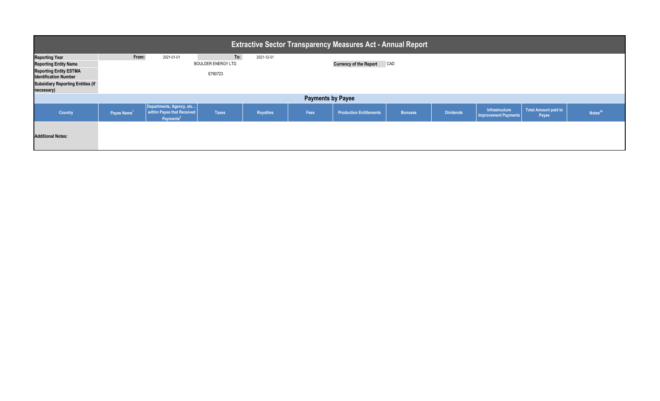| <b>Extractive Sector Transparency Measures Act - Annual Report</b>                     |                         |                                                                                 |                                       |                  |                          |                                |                |                  |                                               |                               |                     |
|----------------------------------------------------------------------------------------|-------------------------|---------------------------------------------------------------------------------|---------------------------------------|------------------|--------------------------|--------------------------------|----------------|------------------|-----------------------------------------------|-------------------------------|---------------------|
| <b>Reporting Year</b><br><b>Reporting Entity Name</b><br><b>Reporting Entity ESTMA</b> | From:                   | 2021-01-01                                                                      | To:<br>BOULDER ENERGY LTD.<br>E760723 | 2021-12-31       |                          | <b>Currency of the Report</b>  | CAD            |                  |                                               |                               |                     |
| <b>Identification Number</b><br><b>Subsidiary Reporting Entities (if</b><br>necessary) |                         |                                                                                 |                                       |                  |                          |                                |                |                  |                                               |                               |                     |
|                                                                                        |                         |                                                                                 |                                       |                  | <b>Payments by Payee</b> |                                |                |                  |                                               |                               |                     |
| Country                                                                                | Payee Name <sup>1</sup> | Departments, Agency, etc<br>within Payee that Received<br>Payments <sup>2</sup> | <b>Taxes</b>                          | <b>Royalties</b> | Fees                     | <b>Production Entitlements</b> | <b>Bonuses</b> | <b>Dividends</b> | Infrastructure<br><b>Improvement Payments</b> | Total Amount paid to<br>Payee | Notes <sup>34</sup> |
| <b>Additional Notes:</b>                                                               |                         |                                                                                 |                                       |                  |                          |                                |                |                  |                                               |                               |                     |